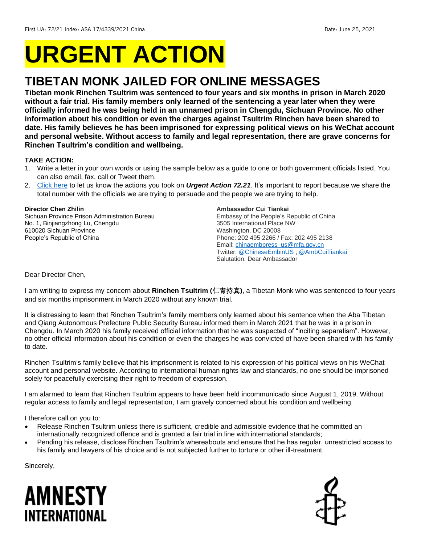# **URGENT ACTION**

## **TIBETAN MONK JAILED FOR ONLINE MESSAGES**

**Tibetan monk Rinchen Tsultrim was sentenced to four years and six months in prison in March 2020 without a fair trial. His family members only learned of the sentencing a year later when they were officially informed he was being held in an unnamed prison in Chengdu, Sichuan Province. No other information about his condition or even the charges against Tsultrim Rinchen have been shared to date. His family believes he has been imprisoned for expressing political views on his WeChat account and personal website. Without access to family and legal representation, there are grave concerns for Rinchen Tsultrim's condition and wellbeing.**

#### **TAKE ACTION:**

- 1. Write a letter in your own words or using the sample below as a guide to one or both government officials listed. You can also email, fax, call or Tweet them.
- 2. [Click here](https://www.amnestyusa.org/report-urgent-actions/) to let us know the actions you took on *Urgent Action 72.21*. It's important to report because we share the total number with the officials we are trying to persuade and the people we are trying to help.

#### **Director Chen Zhilin**

Sichuan Province Prison Administration Bureau No. 1, Binjiangzhong Lu, Chengdu 610020 Sichuan Province People's Republic of China

#### **Ambassador Cui Tiankai**

Embassy of the People's Republic of China 3505 International Place NW Washington, DC 20008 Phone: 202 495 2266 / Fax: 202 495 2138 Email: [chinaembpress\\_us@mfa.gov.cn](mailto:chinaembpress_us@mfa.gov.cn) Twitter: [@ChineseEmbinUS](https://twitter.com/chineseembinus) ; [@AmbCuiTiankai](https://twitter.com/AmbCuiTiankai) Salutation: Dear Ambassador

Dear Director Chen,

I am writing to express my concern about **Rinchen Tsultrim (**仁青持真**)**, a Tibetan Monk who was sentenced to four years and six months imprisonment in March 2020 without any known trial.

It is distressing to learn that Rinchen Tsultrim's family members only learned about his sentence when the Aba Tibetan and Qiang Autonomous Prefecture Public Security Bureau informed them in March 2021 that he was in a prison in Chengdu. In March 2020 his family received official information that he was suspected of "inciting separatism". However, no other official information about his condition or even the charges he was convicted of have been shared with his family to date.

Rinchen Tsultrim's family believe that his imprisonment is related to his expression of his political views on his WeChat account and personal website. According to international human rights law and standards, no one should be imprisoned solely for peacefully exercising their right to freedom of expression.

I am alarmed to learn that Rinchen Tsultrim appears to have been held incommunicado since August 1, 2019. Without regular access to family and legal representation, I am gravely concerned about his condition and wellbeing.

I therefore call on you to:

- Release Rinchen Tsultrim unless there is sufficient, credible and admissible evidence that he committed an internationally recognized offence and is granted a fair trial in line with international standards;
- Pending his release, disclose Rinchen Tsultrim's whereabouts and ensure that he has regular, unrestricted access to his family and lawyers of his choice and is not subjected further to torture or other ill-treatment.

Sincerely,